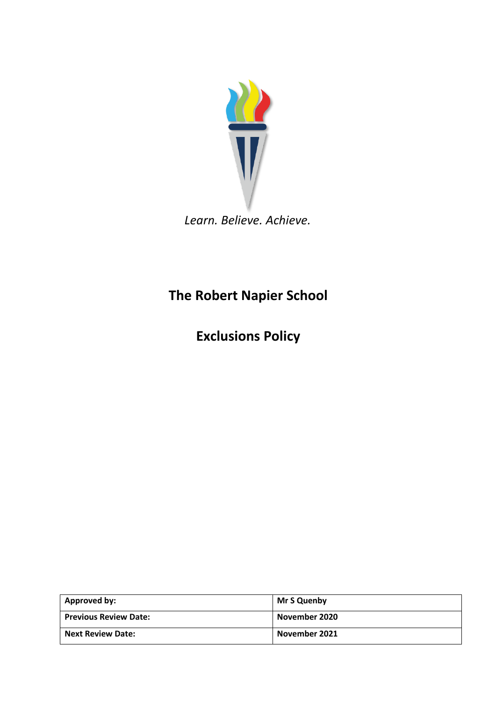

*Learn. Believe. Achieve.*

# **The Robert Napier School**

**Exclusions Policy**

| Approved by:                 | Mr S Quenby   |
|------------------------------|---------------|
| <b>Previous Review Date:</b> | November 2020 |
| <b>Next Review Date:</b>     | November 2021 |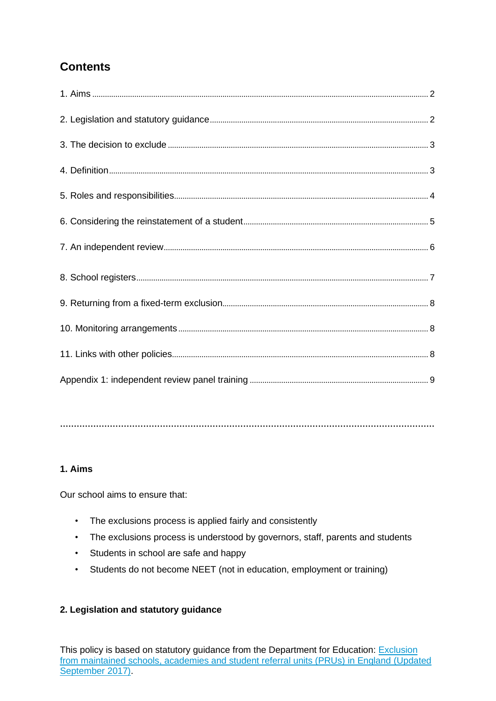## **Contents**

**………………………………………………………………………………………………………………………**

### **1. Aims**

Our school aims to ensure that:

- The exclusions process is applied fairly and consistently
- The exclusions process is understood by governors, staff, parents and students
- Students in school are safe and happy
- Students do not become NEET (not in education, employment or training)

#### **2. Legislation and statutory guidance**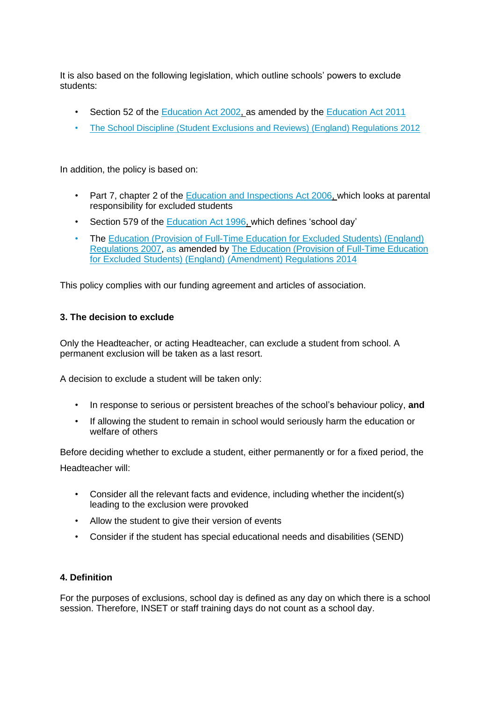It is also based on the following legislation, which outline schools' powers to exclude students:

- Section 52 of the [Education Act 2002, a](http://www.legislation.gov.uk/ukpga/2002/32/section/52)s amended by the [Education Act 2011](http://www.legislation.gov.uk/ukpga/2011/21/contents/enacted)
- [The School Discipline \(Student Exclusions and Reviews\) \(England\) Regulations 2012](http://www.legislation.gov.uk/uksi/2012/1033/made)

In addition, the policy is based on:

- Part 7, chapter 2 of the [Education and Inspections Act 2006, w](http://www.legislation.gov.uk/ukpga/2006/40/part/7/chapter/2)hich looks at parental responsibility for excluded students
- Section 579 of the [Education Act 1996, w](http://www.legislation.gov.uk/ukpga/1996/56/section/579)hich defines 'school day'
- The [Education \(Provision of Full-Time Education for Excluded Students\) \(England\)](http://www.legislation.gov.uk/uksi/2007/1870/contents/made) [Regulations 2007, a](http://www.legislation.gov.uk/uksi/2007/1870/contents/made)s amended by [The Education \(Provision of Full-Time Education](http://www.legislation.gov.uk/uksi/2014/3216/contents/made) [for Excluded Students\) \(England\) \(Amendment\) Regulations 2014](http://www.legislation.gov.uk/uksi/2014/3216/contents/made)

This policy complies with our funding agreement and articles of association.

#### **3. The decision to exclude**

Only the Headteacher, or acting Headteacher, can exclude a student from school. A permanent exclusion will be taken as a last resort.

A decision to exclude a student will be taken only:

- In response to serious or persistent breaches of the school's behaviour policy, **and**
- If allowing the student to remain in school would seriously harm the education or welfare of others

Before deciding whether to exclude a student, either permanently or for a fixed period, the Headteacher will:

- Consider all the relevant facts and evidence, including whether the incident(s) leading to the exclusion were provoked
- Allow the student to give their version of events
- Consider if the student has special educational needs and disabilities (SEND)

#### **4. Definition**

For the purposes of exclusions, school day is defined as any day on which there is a school session. Therefore, INSET or staff training days do not count as a school day.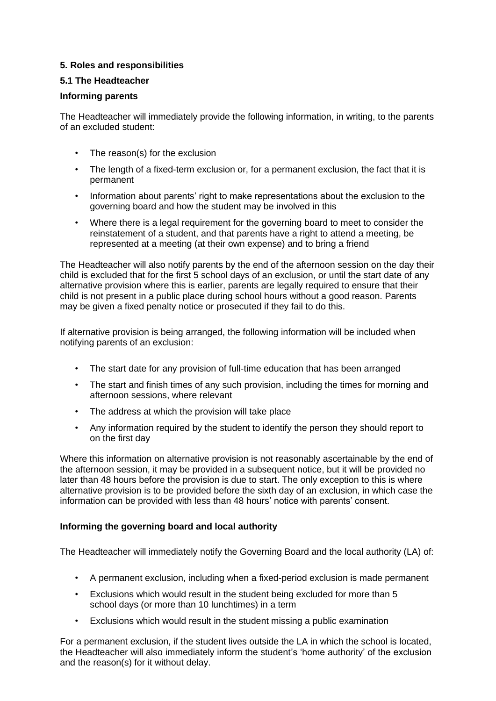#### **5. Roles and responsibilities**

#### **5.1 The Headteacher**

#### **Informing parents**

The Headteacher will immediately provide the following information, in writing, to the parents of an excluded student:

- The reason(s) for the exclusion
- The length of a fixed-term exclusion or, for a permanent exclusion, the fact that it is permanent
- Information about parents' right to make representations about the exclusion to the governing board and how the student may be involved in this
- Where there is a legal requirement for the governing board to meet to consider the reinstatement of a student, and that parents have a right to attend a meeting, be represented at a meeting (at their own expense) and to bring a friend

The Headteacher will also notify parents by the end of the afternoon session on the day their child is excluded that for the first 5 school days of an exclusion, or until the start date of any alternative provision where this is earlier, parents are legally required to ensure that their child is not present in a public place during school hours without a good reason. Parents may be given a fixed penalty notice or prosecuted if they fail to do this.

If alternative provision is being arranged, the following information will be included when notifying parents of an exclusion:

- The start date for any provision of full-time education that has been arranged
- The start and finish times of any such provision, including the times for morning and afternoon sessions, where relevant
- The address at which the provision will take place
- Any information required by the student to identify the person they should report to on the first day

Where this information on alternative provision is not reasonably ascertainable by the end of the afternoon session, it may be provided in a subsequent notice, but it will be provided no later than 48 hours before the provision is due to start. The only exception to this is where alternative provision is to be provided before the sixth day of an exclusion, in which case the information can be provided with less than 48 hours' notice with parents' consent.

#### **Informing the governing board and local authority**

The Headteacher will immediately notify the Governing Board and the local authority (LA) of:

- A permanent exclusion, including when a fixed-period exclusion is made permanent
- Exclusions which would result in the student being excluded for more than 5 school days (or more than 10 lunchtimes) in a term
- Exclusions which would result in the student missing a public examination

For a permanent exclusion, if the student lives outside the LA in which the school is located, the Headteacher will also immediately inform the student's 'home authority' of the exclusion and the reason(s) for it without delay.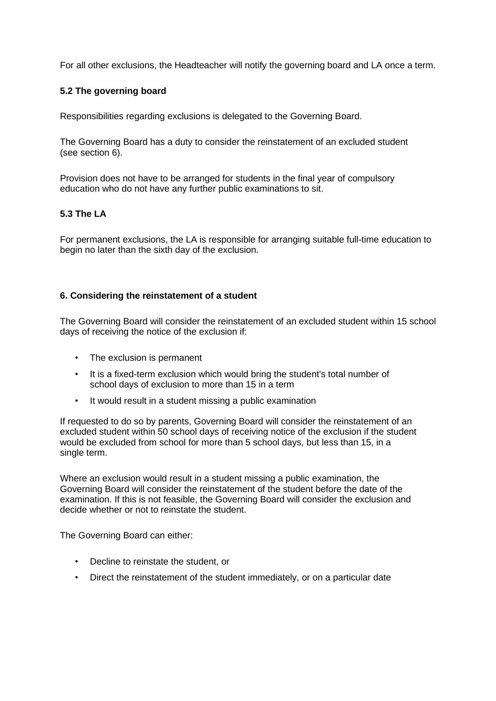For all other exclusions, the Headteacher will notify the governing board and LA once a term.

#### **5.2 The governing board**

Responsibilities regarding exclusions is delegated to the Governing Board.

The Governing Board has a duty to consider the reinstatement of an excluded student (see section 6).

Provision does not have to be arranged for students in the final year of compulsory education who do not have any further public examinations to sit.

#### **5.3 The LA**

For permanent exclusions, the LA is responsible for arranging suitable full-time education to begin no later than the sixth day of the exclusion.

#### **6. Considering the reinstatement of a student**

The Governing Board will consider the reinstatement of an excluded student within 15 school days of receiving the notice of the exclusion if:

- The exclusion is permanent
- It is a fixed-term exclusion which would bring the student's total number of school days of exclusion to more than 15 in a term
- It would result in a student missing a public examination

If requested to do so by parents, Governing Board will consider the reinstatement of an excluded student within 50 school days of receiving notice of the exclusion if the student would be excluded from school for more than 5 school days, but less than 15, in a single term.

Where an exclusion would result in a student missing a public examination, the Governing Board will consider the reinstatement of the student before the date of the examination. If this is not feasible, the Governing Board will consider the exclusion and decide whether or not to reinstate the student.

The Governing Board can either:

- Decline to reinstate the student, or
- Direct the reinstatement of the student immediately, or on a particular date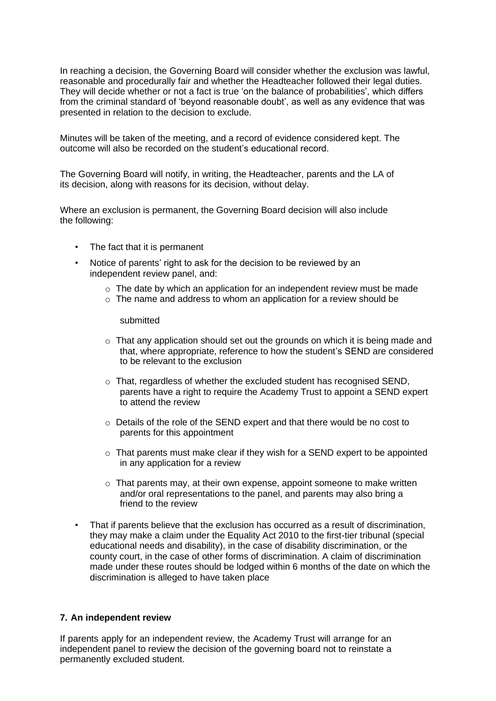In reaching a decision, the Governing Board will consider whether the exclusion was lawful, reasonable and procedurally fair and whether the Headteacher followed their legal duties. They will decide whether or not a fact is true 'on the balance of probabilities', which differs from the criminal standard of 'beyond reasonable doubt', as well as any evidence that was presented in relation to the decision to exclude.

Minutes will be taken of the meeting, and a record of evidence considered kept. The outcome will also be recorded on the student's educational record.

The Governing Board will notify, in writing, the Headteacher, parents and the LA of its decision, along with reasons for its decision, without delay.

Where an exclusion is permanent, the Governing Board decision will also include the following:

- The fact that it is permanent
- Notice of parents' right to ask for the decision to be reviewed by an independent review panel, and:
	- $\circ$  The date by which an application for an independent review must be made
	- o The name and address to whom an application for a review should be

submitted

- $\circ$  That any application should set out the grounds on which it is being made and that, where appropriate, reference to how the student's SEND are considered to be relevant to the exclusion
- o That, regardless of whether the excluded student has recognised SEND, parents have a right to require the Academy Trust to appoint a SEND expert to attend the review
- o Details of the role of the SEND expert and that there would be no cost to parents for this appointment
- $\circ$  That parents must make clear if they wish for a SEND expert to be appointed in any application for a review
- $\circ$  That parents may, at their own expense, appoint someone to make written and/or oral representations to the panel, and parents may also bring a friend to the review
- That if parents believe that the exclusion has occurred as a result of discrimination, they may make a claim under the Equality Act 2010 to the first-tier tribunal (special educational needs and disability), in the case of disability discrimination, or the county court, in the case of other forms of discrimination. A claim of discrimination made under these routes should be lodged within 6 months of the date on which the discrimination is alleged to have taken place

#### **7. An independent review**

If parents apply for an independent review, the Academy Trust will arrange for an independent panel to review the decision of the governing board not to reinstate a permanently excluded student.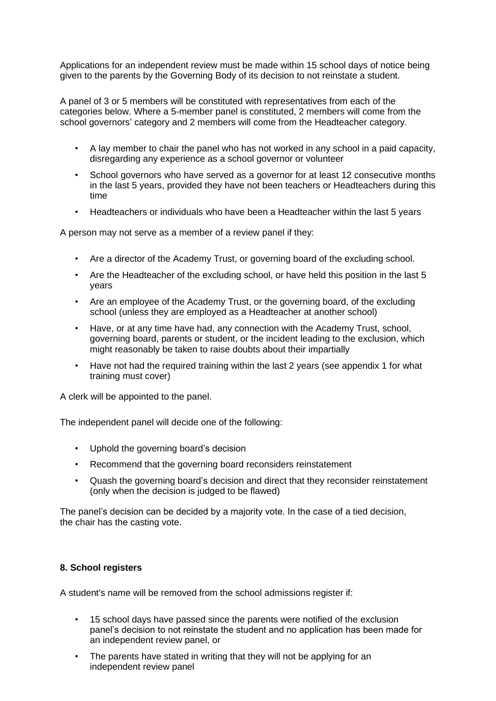Applications for an independent review must be made within 15 school days of notice being given to the parents by the Governing Body of its decision to not reinstate a student.

A panel of 3 or 5 members will be constituted with representatives from each of the categories below. Where a 5-member panel is constituted, 2 members will come from the school governors' category and 2 members will come from the Headteacher category.

- A lay member to chair the panel who has not worked in any school in a paid capacity, disregarding any experience as a school governor or volunteer
- School governors who have served as a governor for at least 12 consecutive months in the last 5 years, provided they have not been teachers or Headteachers during this time
- Headteachers or individuals who have been a Headteacher within the last 5 years

A person may not serve as a member of a review panel if they:

- Are a director of the Academy Trust, or governing board of the excluding school.
- Are the Headteacher of the excluding school, or have held this position in the last 5 years
- Are an employee of the Academy Trust, or the governing board, of the excluding school (unless they are employed as a Headteacher at another school)
- Have, or at any time have had, any connection with the Academy Trust, school, governing board, parents or student, or the incident leading to the exclusion, which might reasonably be taken to raise doubts about their impartially
- Have not had the required training within the last 2 years (see appendix 1 for what training must cover)

A clerk will be appointed to the panel.

The independent panel will decide one of the following:

- Uphold the governing board's decision
- Recommend that the governing board reconsiders reinstatement
- Quash the governing board's decision and direct that they reconsider reinstatement (only when the decision is judged to be flawed)

The panel's decision can be decided by a majority vote. In the case of a tied decision, the chair has the casting vote.

#### **8. School registers**

A student's name will be removed from the school admissions register if:

- 15 school days have passed since the parents were notified of the exclusion panel's decision to not reinstate the student and no application has been made for an independent review panel, or
- The parents have stated in writing that they will not be applying for an independent review panel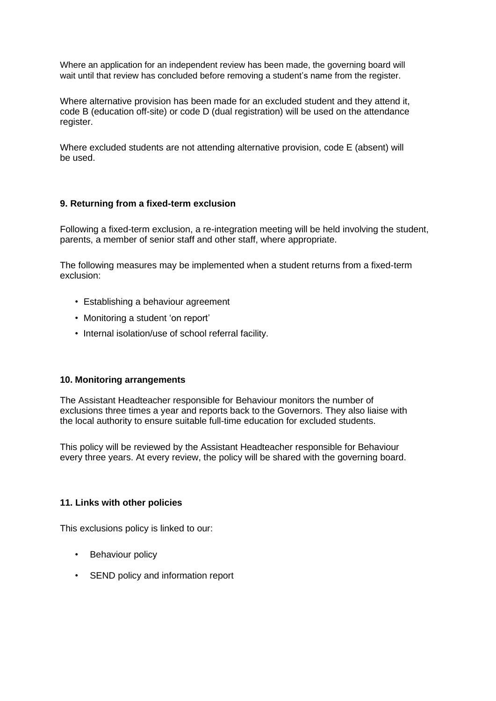Where an application for an independent review has been made, the governing board will wait until that review has concluded before removing a student's name from the register.

Where alternative provision has been made for an excluded student and they attend it, code B (education off-site) or code D (dual registration) will be used on the attendance register.

Where excluded students are not attending alternative provision, code E (absent) will be used.

#### **9. Returning from a fixed-term exclusion**

Following a fixed-term exclusion, a re-integration meeting will be held involving the student, parents, a member of senior staff and other staff, where appropriate.

The following measures may be implemented when a student returns from a fixed-term exclusion:

- Establishing a behaviour agreement
- Monitoring a student 'on report'
- Internal isolation/use of school referral facility.

#### **10. Monitoring arrangements**

The Assistant Headteacher responsible for Behaviour monitors the number of exclusions three times a year and reports back to the Governors. They also liaise with the local authority to ensure suitable full-time education for excluded students.

This policy will be reviewed by the Assistant Headteacher responsible for Behaviour every three years. At every review, the policy will be shared with the governing board.

#### **11. Links with other policies**

This exclusions policy is linked to our:

- Behaviour policy
- SEND policy and information report